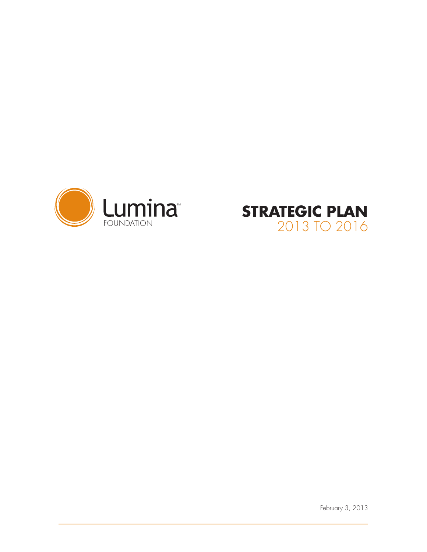



February 3, 2013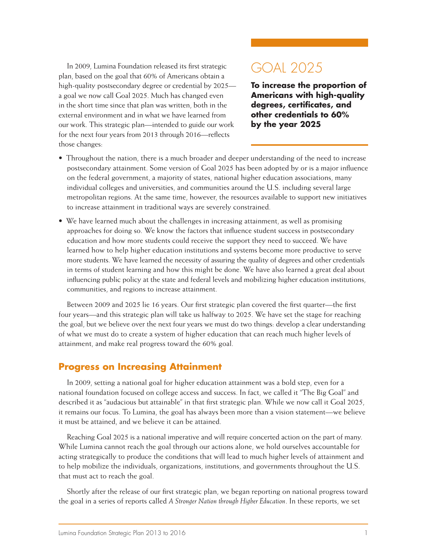In 2009, Lumina Foundation released its first strategic plan, based on the goal that 60% of Americans obtain a high-quality postsecondary degree or credential by 2025 a goal we now call Goal 2025. Much has changed even in the short time since that plan was written, both in the external environment and in what we have learned from our work. This strategic plan—intended to guide our work for the next four years from 2013 through 2016—reflects those changes:

# GOAL 2025

**To increase the proportion of Americans with high-quality degrees, certificates, and other credentials to 60% by the year 2025**

- Throughout the nation, there is a much broader and deeper understanding of the need to increase postsecondary attainment. Some version of Goal 2025 has been adopted by or is a major influence on the federal government, a majority of states, national higher education associations, many individual colleges and universities, and communities around the U.S. including several large metropolitan regions. At the same time, however, the resources available to support new initiatives to increase attainment in traditional ways are severely constrained.
- We have learned much about the challenges in increasing attainment, as well as promising approaches for doing so. We know the factors that influence student success in postsecondary education and how more students could receive the support they need to succeed. We have learned how to help higher education institutions and systems become more productive to serve more students. We have learned the necessity of assuring the quality of degrees and other credentials in terms of student learning and how this might be done. We have also learned a great deal about influencing public policy at the state and federal levels and mobilizing higher education institutions, communities, and regions to increase attainment.

Between 2009 and 2025 lie 16 years. Our first strategic plan covered the first quarter—the first four years—and this strategic plan will take us halfway to 2025. We have set the stage for reaching the goal, but we believe over the next four years we must do two things: develop a clear understanding of what we must do to create a system of higher education that can reach much higher levels of attainment, and make real progress toward the 60% goal.

#### **Progress on Increasing Attainment**

In 2009, setting a national goal for higher education attainment was a bold step, even for a national foundation focused on college access and success. In fact, we called it "The Big Goal" and described it as "audacious but attainable" in that first strategic plan. While we now call it Goal 2025, it remains our focus. To Lumina, the goal has always been more than a vision statement—we believe it must be attained, and we believe it can be attained.

Reaching Goal 2025 is a national imperative and will require concerted action on the part of many. While Lumina cannot reach the goal through our actions alone, we hold ourselves accountable for acting strategically to produce the conditions that will lead to much higher levels of attainment and to help mobilize the individuals, organizations, institutions, and governments throughout the U.S. that must act to reach the goal.

Shortly after the release of our first strategic plan, we began reporting on national progress toward the goal in a series of reports called *A Stronger Nation through Higher Education*. In these reports, we set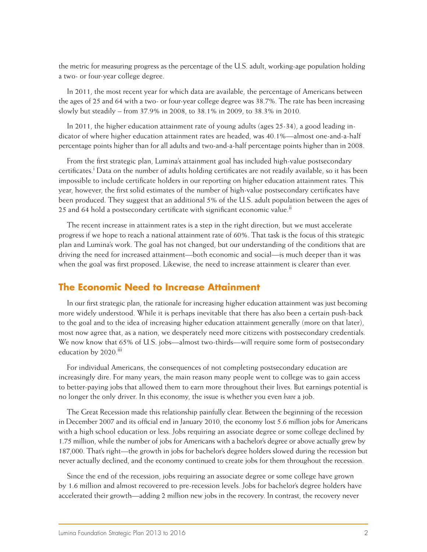the metric for measuring progress as the percentage of the U.S. adult, working-age population holding a two- or four-year college degree.

In 2011, the most recent year for which data are available, the percentage of Americans between the ages of 25 and 64 with a two- or four-year college degree was 38.7%. The rate has been increasing slowly but steadily – from 37.9% in 2008, to 38.1% in 2009, to 38.3% in 2010.

In 2011, the higher education attainment rate of young adults (ages 25-34), a good leading indicator of where higher education attainment rates are headed, was 40.1%—almost one-and-a-half percentage points higher than for all adults and two-and-a-half percentage points higher than in 2008.

From the first strategic plan, Lumina's attainment goal has included high-value postsecondary certificates.<sup>i</sup> Data on the number of adults holding certificates are not readily available, so it has been impossible to include certificate holders in our reporting on higher education attainment rates. This year, however, the first solid estimates of the number of high-value postsecondary certificates have been produced. They suggest that an additional 5% of the U.S. adult population between the ages of 25 and 64 hold a postsecondary certificate with significant economic value.<sup>11</sup>

The recent increase in attainment rates is a step in the right direction, but we must accelerate progress if we hope to reach a national attainment rate of 60%. That task is the focus of this strategic plan and Lumina's work. The goal has not changed, but our understanding of the conditions that are driving the need for increased attainment—both economic and social—is much deeper than it was when the goal was first proposed. Likewise, the need to increase attainment is clearer than ever.

#### **The Economic Need to Increase Attainment**

In our first strategic plan, the rationale for increasing higher education attainment was just becoming more widely understood. While it is perhaps inevitable that there has also been a certain push-back to the goal and to the idea of increasing higher education attainment generally (more on that later), most now agree that, as a nation, we desperately need more citizens with postsecondary credentials. We now know that 65% of U.S. jobs—almost two-thirds—will require some form of postsecondary education by 2020.<sup>iii</sup>

For individual Americans, the consequences of not completing postsecondary education are increasingly dire. For many years, the main reason many people went to college was to gain access to better-paying jobs that allowed them to earn more throughout their lives. But earnings potential is no longer the only driver. In this economy, the issue is whether you even *have* a job.

The Great Recession made this relationship painfully clear. Between the beginning of the recession in December 2007 and its official end in January 2010, the economy lost 5.6 million jobs for Americans with a high school education or less. Jobs requiring an associate degree or some college declined by 1.75 million, while the number of jobs for Americans with a bachelor's degree or above actually grew by 187,000. That's right—the growth in jobs for bachelor's degree holders slowed during the recession but never actually declined, and the economy continued to create jobs for them throughout the recession.

Since the end of the recession, jobs requiring an associate degree or some college have grown by 1.6 million and almost recovered to pre-recession levels. Jobs for bachelor's degree holders have accelerated their growth—adding 2 million new jobs in the recovery. In contrast, the recovery never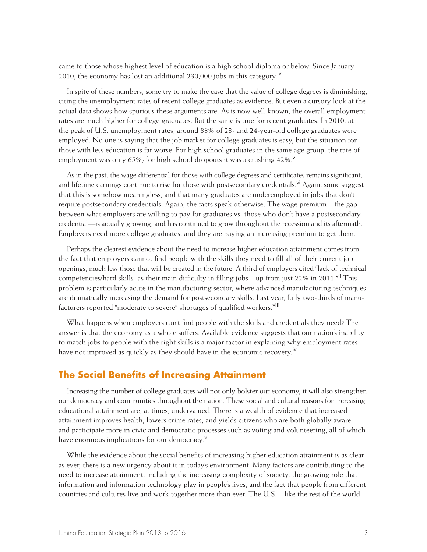came to those whose highest level of education is a high school diploma or below. Since January 2010, the economy has lost an additional 230,000 jobs in this category.<sup>iv</sup>

In spite of these numbers, some try to make the case that the value of college degrees is diminishing, citing the unemployment rates of recent college graduates as evidence. But even a cursory look at the actual data shows how spurious these arguments are. As is now well-known, the overall employment rates are much higher for college graduates. But the same is true for recent graduates. In 2010, at the peak of U.S. unemployment rates, around 88% of 23- and 24-year-old college graduates were employed. No one is saying that the job market for college graduates is easy, but the situation for those with less education is far worse. For high school graduates in the same age group, the rate of employment was only 65%; for high school dropouts it was a crushing  $42\%$ .

As in the past, the wage differential for those with college degrees and certificates remains significant, and lifetime earnings continue to rise for those with postsecondary credentials.<sup>vi</sup> Again, some suggest that this is somehow meaningless, and that many graduates are underemployed in jobs that don't require postsecondary credentials. Again, the facts speak otherwise. The wage premium—the gap between what employers are willing to pay for graduates vs. those who don't have a postsecondary credential—is actually growing, and has continued to grow throughout the recession and its aftermath. Employers need more college graduates, and they are paying an increasing premium to get them.

Perhaps the clearest evidence about the need to increase higher education attainment comes from the fact that employers cannot find people with the skills they need to fill all of their current job openings, much less those that will be created in the future. A third of employers cited "lack of technical competencies/hard skills" as their main difficulty in filling jobs—up from just 22% in 2011.<sup>Vii</sup> This problem is particularly acute in the manufacturing sector, where advanced manufacturing techniques are dramatically increasing the demand for postsecondary skills. Last year, fully two-thirds of manufacturers reported "moderate to severe" shortages of qualified workers.<sup>Viii</sup>

What happens when employers can't find people with the skills and credentials they need? The answer is that the economy as a whole suffers. Available evidence suggests that our nation's inability to match jobs to people with the right skills is a major factor in explaining why employment rates have not improved as quickly as they should have in the economic recovery.<sup>ix</sup>

### **The Social Benefits of Increasing Attainment**

Increasing the number of college graduates will not only bolster our economy, it will also strengthen our democracy and communities throughout the nation. These social and cultural reasons for increasing educational attainment are, at times, undervalued. There is a wealth of evidence that increased attainment improves health, lowers crime rates, and yields citizens who are both globally aware and participate more in civic and democratic processes such as voting and volunteering, all of which have enormous implications for our democracy.<sup>x</sup>

While the evidence about the social benefits of increasing higher education attainment is as clear as ever, there is a new urgency about it in today's environment. Many factors are contributing to the need to increase attainment, including the increasing complexity of society, the growing role that information and information technology play in people's lives, and the fact that people from different countries and cultures live and work together more than ever. The U.S.—like the rest of the world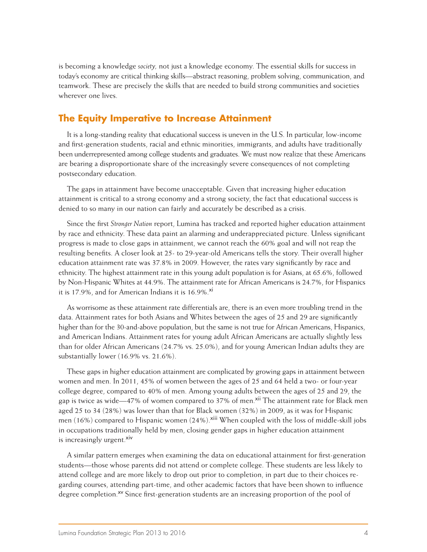is becoming a knowledge *society,* not just a knowledge economy. The essential skills for success in today's economy are critical thinking skills—abstract reasoning, problem solving, communication, and teamwork. These are precisely the skills that are needed to build strong communities and societies wherever one lives.

### **The Equity Imperative to Increase Attainment**

It is a long-standing reality that educational success is uneven in the U.S. In particular, low-income and first-generation students, racial and ethnic minorities, immigrants, and adults have traditionally been underrepresented among college students and graduates. We must now realize that these Americans are bearing a disproportionate share of the increasingly severe consequences of not completing postsecondary education.

The gaps in attainment have become unacceptable. Given that increasing higher education attainment is critical to a strong economy and a strong society, the fact that educational success is denied to so many in our nation can fairly and accurately be described as a crisis.

Since the first *Stronger Nation* report, Lumina has tracked and reported higher education attainment by race and ethnicity. These data paint an alarming and underappreciated picture. Unless significant progress is made to close gaps in attainment, we cannot reach the 60% goal and will not reap the resulting benefits. A closer look at 25- to 29-year-old Americans tells the story. Their overall higher education attainment rate was 37.8% in 2009. However, the rates vary significantly by race and ethnicity. The highest attainment rate in this young adult population is for Asians, at 65.6%, followed by Non-Hispanic Whites at 44.9%. The attainment rate for African Americans is 24.7%, for Hispanics it is 17.9%, and for American Indians it is  $16.9\%$ .<sup>xi</sup>

As worrisome as these attainment rate differentials are, there is an even more troubling trend in the data. Attainment rates for both Asians and Whites between the ages of 25 and 29 are significantly higher than for the 30-and-above population, but the same is not true for African Americans, Hispanics, and American Indians. Attainment rates for young adult African Americans are actually slightly less than for older African Americans (24.7% vs. 25.0%), and for young American Indian adults they are substantially lower (16.9% vs. 21.6%).

These gaps in higher education attainment are complicated by growing gaps in attainment between women and men. In 2011, 45% of women between the ages of 25 and 64 held a two- or four-year college degree, compared to 40% of men. Among young adults between the ages of 25 and 29, the gap is twice as wide—47% of women compared to 37% of men.<sup>xii</sup> The attainment rate for Black men aged 25 to 34 (28%) was lower than that for Black women (32%) in 2009, as it was for Hispanic men (16%) compared to Hispanic women (24%).<sup>xiii</sup> When coupled with the loss of middle-skill jobs in occupations traditionally held by men, closing gender gaps in higher education attainment is increasingly urgent.<sup>XIV</sup>

A similar pattern emerges when examining the data on educational attainment for first-generation students—those whose parents did not attend or complete college. These students are less likely to attend college and are more likely to drop out prior to completion, in part due to their choices regarding courses, attending part-time, and other academic factors that have been shown to influence degree completion.<sup>xv</sup> Since first-generation students are an increasing proportion of the pool of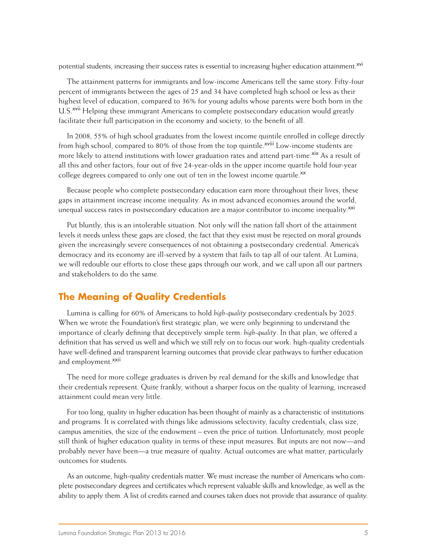potential students, increasing their success rates is essential to increasing higher education attainment.<sup>xvi</sup>

The attainment patterns for immigrants and low-income Americans tell the same story. Fifty-four percent of immigrants between the ages of 25 and 34 have completed high school or less as their highest level of education, compared to 36% for young adults whose parents were both born in the U.S.<sup>xvii</sup> Helping these immigrant Americans to complete postsecondary education would greatly facilitate their full participation in the economy and society, to the benefit of all.

In 2008, 55% of high school graduates from the lowest income quintile enrolled in college directly from high school, compared to 80% of those from the top quintile.<sup>xviii</sup> Low-income students are more likely to attend institutions with lower graduation rates and attend part-time.<sup>xix</sup> As a result of all this and other factors, four out of five 24-year-olds in the upper income quartile hold four-year college degrees compared to only one out of ten in the lowest income quartile.<sup>xx</sup>

Because people who complete postsecondary education earn more throughout their lives, these gaps in attainment increase income inequality. As in most advanced economies around the world, unequal success rates in postsecondary education are a major contributor to income inequality.<sup>xxi</sup>

Put bluntly, this is an intolerable situation. Not only will the nation fall short of the attainment levels it needs unless these gaps are closed, the fact that they exist must be rejected on moral grounds given the increasingly severe consequences of not obtaining a postsecondary credential. America's democracy and its economy are ill-served by a system that fails to tap all of our talent. At Lumina, we will redouble our efforts to close these gaps through our work, and we call upon all our partners and stakeholders to do the same.

## **The Meaning of Quality Credentials**

Lumina is calling for 60% of Americans to hold *high-quality* postsecondary credentials by 2025. When we wrote the Foundation's first strategic plan, we were only beginning to understand the importance of clearly defining that deceptively simple term: *high-quality*. In that plan, we offered a definition that has served us well and which we still rely on to focus our work: high-quality credentials have well-defined and transparent learning outcomes that provide clear pathways to further education and employment.<sup>xxii</sup>

The need for more college graduates is driven by real demand for the skills and knowledge that their credentials represent. Quite frankly, without a sharper focus on the quality of learning, increased attainment could mean very little.

For too long, quality in higher education has been thought of mainly as a characteristic of institutions and programs. It is correlated with things like admissions selectivity, faculty credentials, class size, campus amenities, the size of the endowment – even the price of tuition. Unfortunately, most people still think of higher education quality in terms of these input measures. But inputs are not now—and probably never have been—a true measure of quality. Actual outcomes are what matter, particularly outcomes for students.

As an outcome, high-quality credentials matter. We must increase the number of Americans who complete postsecondary degrees and certificates which represent valuable skills and knowledge, as well as the ability to apply them. A list of credits earned and courses taken does not provide that assurance of quality.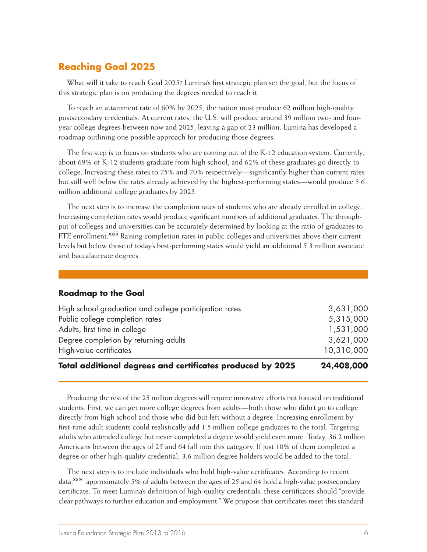# **Reaching Goal 2025**

What will it take to reach Goal 2025? Lumina's first strategic plan set the goal, but the focus of this strategic plan is on producing the degrees needed to reach it.

To reach an attainment rate of 60% by 2025, the nation must produce 62 million high-quality postsecondary credentials. At current rates, the U.S. will produce around 39 million two- and fouryear college degrees between now and 2025, leaving a gap of 23 million. Lumina has developed a roadmap outlining one possible approach for producing those degrees.

The first step is to focus on students who are coming out of the K-12 education system. Currently, about 69% of K-12 students graduate from high school, and 62% of these graduates go directly to college. Increasing these rates to 75% and 70% respectively—significantly higher than current rates but still well below the rates already achieved by the highest-performing states—would produce 3.6 million additional college graduates by 2025.

The next step is to increase the completion rates of students who are already enrolled in college. Increasing completion rates would produce significant numbers of additional graduates. The throughput of colleges and universities can be accurately determined by looking at the ratio of graduates to FTE enrollment.<sup>xxiii</sup> Raising completion rates in public colleges and universities above their current levels but below those of today's best-performing states would yield an additional 5.3 million associate and baccalaureate degrees.

#### **Roadmap to the Goal**

| Total additional degrees and certificates produced by 2025 | 24,408,000 |
|------------------------------------------------------------|------------|
| High-value certificates                                    | 10,310,000 |
| Degree completion by returning adults                      | 3,621,000  |
| Adults, first time in college                              | 1,531,000  |
| Public college completion rates                            | 5,315,000  |
| High school graduation and college participation rates     | 3,631,000  |

Producing the rest of the 23 million degrees will require innovative efforts not focused on traditional students. First, we can get more college degrees from adults—both those who didn't go to college directly from high school and those who did but left without a degree. Increasing enrollment by first-time adult students could realistically add 1.5 million college graduates to the total. Targeting adults who attended college but never completed a degree would yield even more. Today, 36.2 million Americans between the ages of 25 and 64 fall into this category. If just 10% of them completed a degree or other high-quality credential, 3.6 million degree holders would be added to the total.

The next step is to include individuals who hold high-value certificates. According to recent data,<sup>xxiv</sup> approximately 5% of adults between the ages of 25 and 64 hold a high-value postsecondary certificate. To meet Lumina's definition of high-quality credentials, these certificates should "provide clear pathways to further education and employment." We propose that certificates meet this standard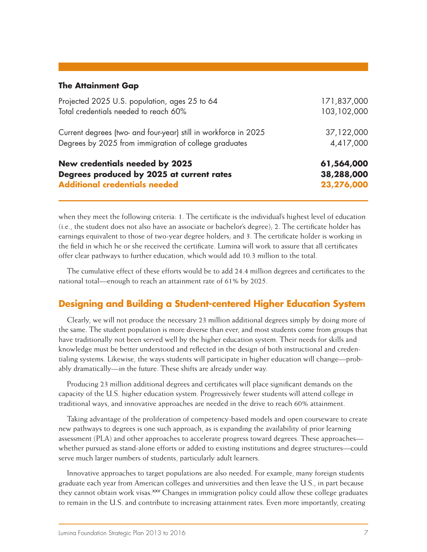#### **The Attainment Gap**

| <b>Additional credentials needed</b>                            | 23,276,000  |  |  |
|-----------------------------------------------------------------|-------------|--|--|
| Degrees produced by 2025 at current rates                       | 38,288,000  |  |  |
| <b>New credentials needed by 2025</b>                           | 61,564,000  |  |  |
| Degrees by 2025 from immigration of college graduates           | 4,417,000   |  |  |
| Current degrees (two- and four-year) still in workforce in 2025 | 37,122,000  |  |  |
| Total credentials needed to reach 60%                           | 103,102,000 |  |  |
| Projected 2025 U.S. population, ages 25 to 64                   | 171,837,000 |  |  |

when they meet the following criteria: 1. The certificate is the individual's highest level of education  $(i.e.,$  the student does not also have an associate or bachelor's degree); 2. The certificate holder has earnings equivalent to those of two-year degree holders; and 3. The certificate holder is working in the field in which he or she received the certificate. Lumina will work to assure that all certificates offer clear pathways to further education, which would add 10.3 million to the total.

The cumulative effect of these efforts would be to add 24.4 million degrees and certificates to the national total—enough to reach an attainment rate of 61% by 2025.

#### **Designing and Building a Student-centered Higher Education System**

Clearly, we will not produce the necessary 23 million additional degrees simply by doing more of the same. The student population is more diverse than ever, and most students come from groups that have traditionally not been served well by the higher education system. Their needs for skills and knowledge must be better understood and reflected in the design of both instructional and credentialing systems. Likewise, the ways students will participate in higher education will change—probably dramatically—in the future. These shifts are already under way.

Producing 23 million additional degrees and certificates will place significant demands on the capacity of the U.S. higher education system. Progressively fewer students will attend college in traditional ways, and innovative approaches are needed in the drive to reach 60% attainment.

Taking advantage of the proliferation of competency-based models and open courseware to create new pathways to degrees is one such approach, as is expanding the availability of prior learning assessment (PLA) and other approaches to accelerate progress toward degrees. These approaches whether pursued as stand-alone efforts or added to existing institutions and degree structures—could serve much larger numbers of students, particularly adult learners.

Innovative approaches to target populations are also needed. For example, many foreign students graduate each year from American colleges and universities and then leave the U.S., in part because they cannot obtain work visas.<sup>XXV</sup> Changes in immigration policy could allow these college graduates to remain in the U.S. and contribute to increasing attainment rates. Even more importantly, creating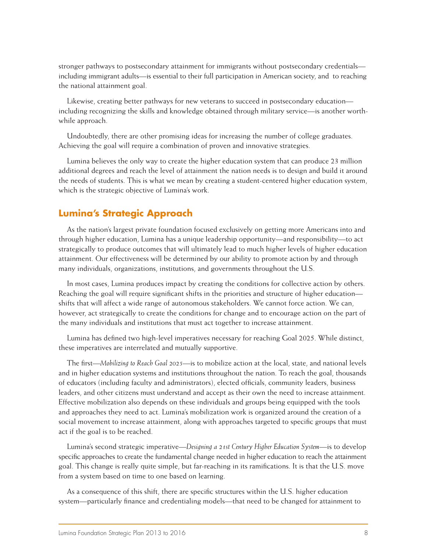stronger pathways to postsecondary attainment for immigrants without postsecondary credentials including immigrant adults—is essential to their full participation in American society, and to reaching the national attainment goal.

Likewise, creating better pathways for new veterans to succeed in postsecondary education including recognizing the skills and knowledge obtained through military service—is another worthwhile approach.

Undoubtedly, there are other promising ideas for increasing the number of college graduates. Achieving the goal will require a combination of proven and innovative strategies.

Lumina believes the only way to create the higher education system that can produce 23 million additional degrees and reach the level of attainment the nation needs is to design and build it around the needs of students. This is what we mean by creating a student-centered higher education system, which is the strategic objective of Lumina's work.

### **Lumina's Strategic Approach**

As the nation's largest private foundation focused exclusively on getting more Americans into and through higher education, Lumina has a unique leadership opportunity—and responsibility—to act strategically to produce outcomes that will ultimately lead to much higher levels of higher education attainment. Our effectiveness will be determined by our ability to promote action by and through many individuals, organizations, institutions, and governments throughout the U.S.

In most cases, Lumina produces impact by creating the conditions for collective action by others. Reaching the goal will require significant shifts in the priorities and structure of higher education shifts that will affect a wide range of autonomous stakeholders. We cannot force action. We can, however, act strategically to create the conditions for change and to encourage action on the part of the many individuals and institutions that must act together to increase attainment.

Lumina has defined two high-level imperatives necessary for reaching Goal 2025. While distinct, these imperatives are interrelated and mutually supportive.

The first—*Mobilizing to Reach Goal 2025*—is to mobilize action at the local, state, and national levels and in higher education systems and institutions throughout the nation. To reach the goal, thousands of educators (including faculty and administrators), elected officials, community leaders, business leaders, and other citizens must understand and accept as their own the need to increase attainment. Effective mobilization also depends on these individuals and groups being equipped with the tools and approaches they need to act. Lumina's mobilization work is organized around the creation of a social movement to increase attainment, along with approaches targeted to specific groups that must act if the goal is to be reached.

Lumina's second strategic imperative—*Designing a 21st Century Higher Education System*—is to develop specific approaches to create the fundamental change needed in higher education to reach the attainment goal. This change is really quite simple, but far-reaching in its ramifications. It is that the U.S. move from a system based on time to one based on learning.

As a consequence of this shift, there are specific structures within the U.S. higher education system—particularly finance and credentialing models—that need to be changed for attainment to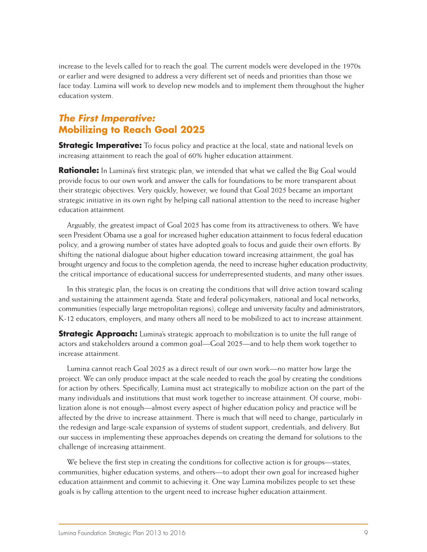increase to the levels called for to reach the goal. The current models were developed in the 1970s or earlier and were designed to address a very different set of needs and priorities than those we face today. Lumina will work to develop new models and to implement them throughout the higher education system.

# *The First Imperative:* **Mobilizing to Reach Goal 2025**

**Strategic Imperative:** To focus policy and practice at the local, state and national levels on increasing attainment to reach the goal of 60% higher education attainment.

**Rationale:** In Lumina's first strategic plan, we intended that what we called the Big Goal would provide focus to our own work and answer the calls for foundations to be more transparent about their strategic objectives. Very quickly, however, we found that Goal 2025 became an important strategic initiative in its own right by helping call national attention to the need to increase higher education attainment.

Arguably, the greatest impact of Goal 2025 has come from its attractiveness to others. We have seen President Obama use a goal for increased higher education attainment to focus federal education policy, and a growing number of states have adopted goals to focus and guide their own efforts. By shifting the national dialogue about higher education toward increasing attainment, the goal has brought urgency and focus to the completion agenda, the need to increase higher education productivity, the critical importance of educational success for underrepresented students, and many other issues.

In this strategic plan, the focus is on creating the conditions that will drive action toward scaling and sustaining the attainment agenda. State and federal policymakers, national and local networks, communities (especially large metropolitan regions), college and university faculty and administrators, K-12 educators, employers, and many others all need to be mobilized to act to increase attainment.

**Strategic Approach:** Lumina's strategic approach to mobilization is to unite the full range of actors and stakeholders around a common goal—Goal 2025—and to help them work together to increase attainment.

Lumina cannot reach Goal 2025 as a direct result of our own work—no matter how large the project. We can only produce impact at the scale needed to reach the goal by creating the conditions for action by others. Specifically, Lumina must act strategically to mobilize action on the part of the many individuals and institutions that must work together to increase attainment. Of course, mobilization alone is not enough—almost every aspect of higher education policy and practice will be affected by the drive to increase attainment. There is much that will need to change, particularly in the redesign and large-scale expansion of systems of student support, credentials, and delivery. But our success in implementing these approaches depends on creating the demand for solutions to the challenge of increasing attainment.

We believe the first step in creating the conditions for collective action is for groups—states, communities, higher education systems, and others—to adopt their own goal for increased higher education attainment and commit to achieving it. One way Lumina mobilizes people to set these goals is by calling attention to the urgent need to increase higher education attainment.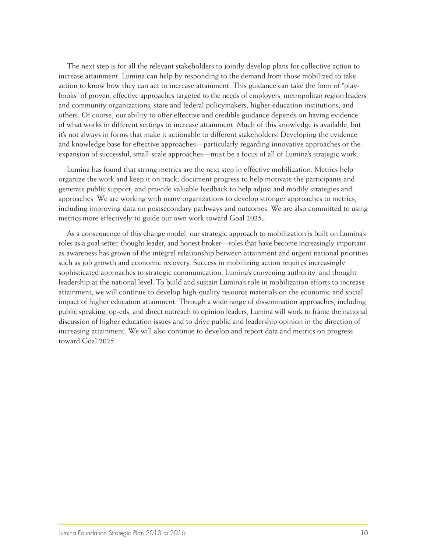The next step is for all the relevant stakeholders to jointly develop plans for collective action to increase attainment. Lumina can help by responding to the demand from those mobilized to take action to know how they can act to increase attainment. This guidance can take the form of "playbooks" of proven, effective approaches targeted to the needs of employers, metropolitan region leaders and community organizations, state and federal policymakers, higher education institutions, and others. Of course, our ability to offer effective and credible guidance depends on having evidence of what works in different settings to increase attainment. Much of this knowledge is available, but it's not always in forms that make it actionable to different stakeholders. Developing the evidence and knowledge base for effective approaches—particularly regarding innovative approaches or the expansion of successful, small-scale approaches—must be a focus of all of Lumina's strategic work.

Lumina has found that strong metrics are the next step in effective mobilization. Metrics help organize the work and keep it on track, document progress to help motivate the participants and generate public support, and provide valuable feedback to help adjust and modify strategies and approaches. We are working with many organizations to develop stronger approaches to metrics, including improving data on postsecondary pathways and outcomes. We are also committed to using metrics more effectively to guide our own work toward Goal 2025.

As a consequence of this change model, our strategic approach to mobilization is built on Lumina's roles as a goal setter, thought leader, and honest broker—roles that have become increasingly important as awareness has grown of the integral relationship between attainment and urgent national priorities such as job growth and economic recovery. Success in mobilizing action requires increasingly sophisticated approaches to strategic communication, Lumina's convening authority, and thought leadership at the national level. To build and sustain Lumina's role in mobilization efforts to increase attainment, we will continue to develop high-quality resource materials on the economic and social impact of higher education attainment. Through a wide range of dissemination approaches, including public speaking, op-eds, and direct outreach to opinion leaders, Lumina will work to frame the national discussion of higher education issues and to drive public and leadership opinion in the direction of increasing attainment. We will also continue to develop and report data and metrics on progress toward Goal 2025.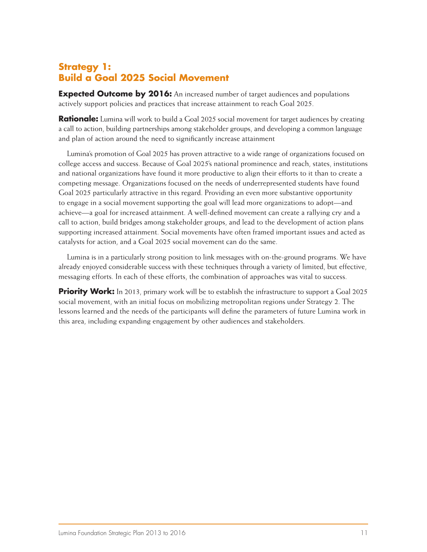# **Strategy 1: Build a Goal 2025 Social Movement**

**Expected Outcome by 2016:** An increased number of target audiences and populations actively support policies and practices that increase attainment to reach Goal 2025.

**Rationale:** Lumina will work to build a Goal 2025 social movement for target audiences by creating a call to action, building partnerships among stakeholder groups, and developing a common language and plan of action around the need to significantly increase attainment

Lumina's promotion of Goal 2025 has proven attractive to a wide range of organizations focused on college access and success. Because of Goal 2025's national prominence and reach, states, institutions and national organizations have found it more productive to align their efforts to it than to create a competing message. Organizations focused on the needs of underrepresented students have found Goal 2025 particularly attractive in this regard. Providing an even more substantive opportunity to engage in a social movement supporting the goal will lead more organizations to adopt—and achieve—a goal for increased attainment. A well-defined movement can create a rallying cry and a call to action, build bridges among stakeholder groups, and lead to the development of action plans supporting increased attainment. Social movements have often framed important issues and acted as catalysts for action, and a Goal 2025 social movement can do the same.

Lumina is in a particularly strong position to link messages with on-the-ground programs. We have already enjoyed considerable success with these techniques through a variety of limited, but effective, messaging efforts. In each of these efforts, the combination of approaches was vital to success.

**Priority Work:** In 2013, primary work will be to establish the infrastructure to support a Goal 2025 social movement, with an initial focus on mobilizing metropolitan regions under Strategy 2. The lessons learned and the needs of the participants will define the parameters of future Lumina work in this area, including expanding engagement by other audiences and stakeholders.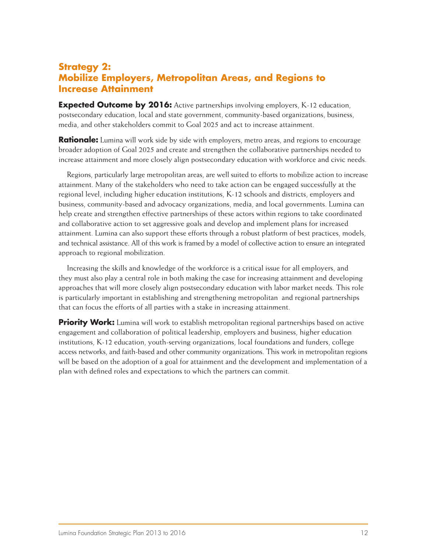## **Strategy 2: Mobilize Employers, Metropolitan Areas, and Regions to Increase Attainment**

**Expected Outcome by 2016:** Active partnerships involving employers, K-12 education, postsecondary education, local and state government, community-based organizations, business, media, and other stakeholders commit to Goal 2025 and act to increase attainment.

**Rationale:** Lumina will work side by side with employers, metro areas, and regions to encourage broader adoption of Goal 2025 and create and strengthen the collaborative partnerships needed to increase attainment and more closely align postsecondary education with workforce and civic needs.

Regions, particularly large metropolitan areas, are well suited to efforts to mobilize action to increase attainment. Many of the stakeholders who need to take action can be engaged successfully at the regional level, including higher education institutions, K-12 schools and districts, employers and business, community-based and advocacy organizations, media, and local governments. Lumina can help create and strengthen effective partnerships of these actors within regions to take coordinated and collaborative action to set aggressive goals and develop and implement plans for increased attainment. Lumina can also support these efforts through a robust platform of best practices, models, and technical assistance. All of this work is framed by a model of collective action to ensure an integrated approach to regional mobilization.

Increasing the skills and knowledge of the workforce is a critical issue for all employers, and they must also play a central role in both making the case for increasing attainment and developing approaches that will more closely align postsecondary education with labor market needs. This role is particularly important in establishing and strengthening metropolitan and regional partnerships that can focus the efforts of all parties with a stake in increasing attainment.

**Priority Work:** Lumina will work to establish metropolitan regional partnerships based on active engagement and collaboration of political leadership, employers and business, higher education institutions, K-12 education, youth-serving organizations, local foundations and funders, college access networks, and faith-based and other community organizations. This work in metropolitan regions will be based on the adoption of a goal for attainment and the development and implementation of a plan with defined roles and expectations to which the partners can commit.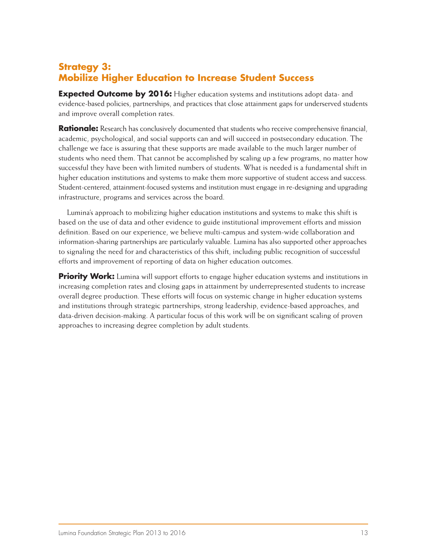# **Strategy 3: Mobilize Higher Education to Increase Student Success**

**Expected Outcome by 2016:** Higher education systems and institutions adopt data- and evidence-based policies, partnerships, and practices that close attainment gaps for underserved students and improve overall completion rates.

**Rationale:** Research has conclusively documented that students who receive comprehensive financial, academic, psychological, and social supports can and will succeed in postsecondary education. The challenge we face is assuring that these supports are made available to the much larger number of students who need them. That cannot be accomplished by scaling up a few programs, no matter how successful they have been with limited numbers of students. What is needed is a fundamental shift in higher education institutions and systems to make them more supportive of student access and success. Student-centered, attainment-focused systems and institution must engage in re-designing and upgrading infrastructure, programs and services across the board.

Lumina's approach to mobilizing higher education institutions and systems to make this shift is based on the use of data and other evidence to guide institutional improvement efforts and mission definition. Based on our experience, we believe multi-campus and system-wide collaboration and information-sharing partnerships are particularly valuable. Lumina has also supported other approaches to signaling the need for and characteristics of this shift, including public recognition of successful efforts and improvement of reporting of data on higher education outcomes.

**Priority Work:** Lumina will support efforts to engage higher education systems and institutions in increasing completion rates and closing gaps in attainment by underrepresented students to increase overall degree production. These efforts will focus on systemic change in higher education systems and institutions through strategic partnerships, strong leadership, evidence-based approaches, and data-driven decision-making. A particular focus of this work will be on significant scaling of proven approaches to increasing degree completion by adult students.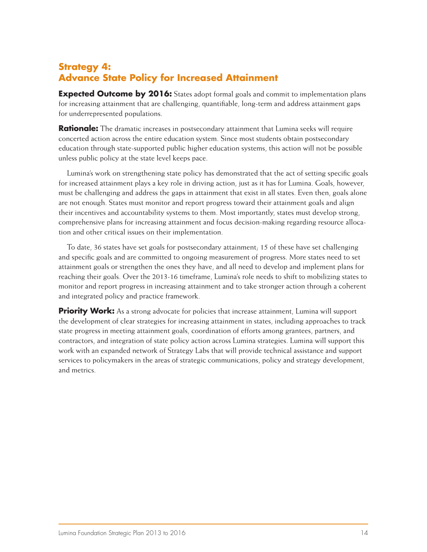# **Strategy 4: Advance State Policy for Increased Attainment**

**Expected Outcome by 2016:** States adopt formal goals and commit to implementation plans for increasing attainment that are challenging, quantifiable, long-term and address attainment gaps for underrepresented populations.

**Rationale:** The dramatic increases in postsecondary attainment that Lumina seeks will require concerted action across the entire education system. Since most students obtain postsecondary education through state-supported public higher education systems, this action will not be possible unless public policy at the state level keeps pace.

Lumina's work on strengthening state policy has demonstrated that the act of setting specific goals for increased attainment plays a key role in driving action, just as it has for Lumina. Goals, however, must be challenging and address the gaps in attainment that exist in all states. Even then, goals alone are not enough. States must monitor and report progress toward their attainment goals and align their incentives and accountability systems to them. Most importantly, states must develop strong, comprehensive plans for increasing attainment and focus decision-making regarding resource allocation and other critical issues on their implementation.

To date, 36 states have set goals for postsecondary attainment; 15 of these have set challenging and specific goals and are committed to ongoing measurement of progress. More states need to set attainment goals or strengthen the ones they have, and all need to develop and implement plans for reaching their goals. Over the 2013-16 timeframe, Lumina's role needs to shift to mobilizing states to monitor and report progress in increasing attainment and to take stronger action through a coherent and integrated policy and practice framework.

**Priority Work:** As a strong advocate for policies that increase attainment, Lumina will support the development of clear strategies for increasing attainment in states, including approaches to track state progress in meeting attainment goals, coordination of efforts among grantees, partners, and contractors, and integration of state policy action across Lumina strategies. Lumina will support this work with an expanded network of Strategy Labs that will provide technical assistance and support services to policymakers in the areas of strategic communications, policy and strategy development, and metrics.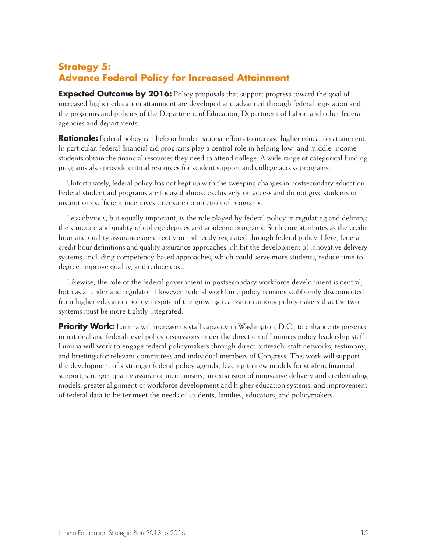# **Strategy 5: Advance Federal Policy for Increased Attainment**

**Expected Outcome by 2016:** Policy proposals that support progress toward the goal of increased higher education attainment are developed and advanced through federal legislation and the programs and policies of the Department of Education, Department of Labor, and other federal agencies and departments.

**Rationale:** Federal policy can help or hinder national efforts to increase higher education attainment. In particular, federal financial aid programs play a central role in helping low- and middle-income students obtain the financial resources they need to attend college. A wide range of categorical funding programs also provide critical resources for student support and college access programs.

Unfortunately, federal policy has not kept up with the sweeping changes in postsecondary education. Federal student aid programs are focused almost exclusively on access and do not give students or institutions sufficient incentives to ensure completion of programs.

Less obvious, but equally important, is the role played by federal policy in regulating and defining the structure and quality of college degrees and academic programs. Such core attributes as the credit hour and quality assurance are directly or indirectly regulated through federal policy. Here, federal credit hour definitions and quality assurance approaches inhibit the development of innovative delivery systems, including competency-based approaches, which could serve more students, reduce time to degree, improve quality, and reduce cost.

Likewise, the role of the federal government in postsecondary workforce development is central, both as a funder and regulator. However, federal workforce policy remains stubbornly disconnected from higher education policy in spite of the growing realization among policymakers that the two systems must be more tightly integrated.

**Priority Work:** Lumina will increase its staff capacity in Washington, D.C., to enhance its presence in national and federal-level policy discussions under the direction of Lumina's policy leadership staff. Lumina will work to engage federal policymakers through direct outreach, staff networks, testimony, and briefings for relevant committees and individual members of Congress. This work will support the development of a stronger federal policy agenda, leading to new models for student financial support, stronger quality assurance mechanisms, an expansion of innovative delivery and credentialing models, greater alignment of workforce development and higher education systems, and improvement of federal data to better meet the needs of students, families, educators, and policymakers.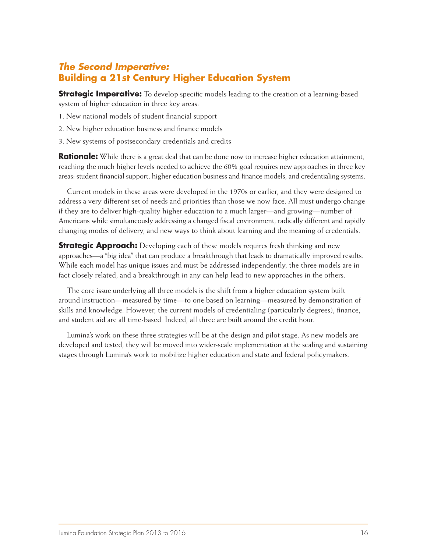# *The Second Imperative:* **Building a 21st Century Higher Education System**

**Strategic Imperative:** To develop specific models leading to the creation of a learning-based system of higher education in three key areas:

- 1. New national models of student financial support
- 2. New higher education business and finance models
- 3. New systems of postsecondary credentials and credits

**Rationale:** While there is a great deal that can be done now to increase higher education attainment, reaching the much higher levels needed to achieve the 60% goal requires new approaches in three key areas: student financial support, higher education business and finance models, and credentialing systems.

Current models in these areas were developed in the 1970s or earlier, and they were designed to address a very different set of needs and priorities than those we now face. All must undergo change if they are to deliver high-quality higher education to a much larger—and growing—number of Americans while simultaneously addressing a changed fiscal environment, radically different and rapidly changing modes of delivery, and new ways to think about learning and the meaning of credentials.

**Strategic Approach:** Developing each of these models requires fresh thinking and new approaches—a "big idea" that can produce a breakthrough that leads to dramatically improved results. While each model has unique issues and must be addressed independently, the three models are in fact closely related, and a breakthrough in any can help lead to new approaches in the others.

The core issue underlying all three models is the shift from a higher education system built around instruction—measured by time—to one based on learning—measured by demonstration of skills and knowledge. However, the current models of credentialing (particularly degrees), finance, and student aid are all time-based. Indeed, all three are built around the credit hour.

Lumina's work on these three strategies will be at the design and pilot stage. As new models are developed and tested, they will be moved into wider-scale implementation at the scaling and sustaining stages through Lumina's work to mobilize higher education and state and federal policymakers.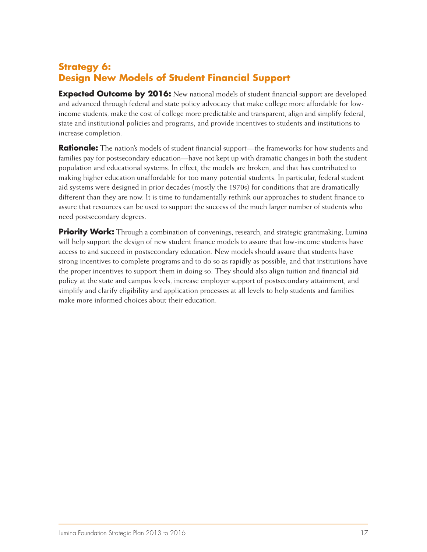# **Strategy 6: Design New Models of Student Financial Support**

**Expected Outcome by 2016:** New national models of student financial support are developed and advanced through federal and state policy advocacy that make college more affordable for lowincome students, make the cost of college more predictable and transparent, align and simplify federal, state and institutional policies and programs, and provide incentives to students and institutions to increase completion.

**Rationale:** The nation's models of student financial support—the frameworks for how students and families pay for postsecondary education—have not kept up with dramatic changes in both the student population and educational systems. In effect, the models are broken, and that has contributed to making higher education unaffordable for too many potential students. In particular, federal student aid systems were designed in prior decades (mostly the 1970s) for conditions that are dramatically different than they are now. It is time to fundamentally rethink our approaches to student finance to assure that resources can be used to support the success of the much larger number of students who need postsecondary degrees.

**Priority Work:** Through a combination of convenings, research, and strategic grantmaking, Lumina will help support the design of new student finance models to assure that low-income students have access to and succeed in postsecondary education. New models should assure that students have strong incentives to complete programs and to do so as rapidly as possible, and that institutions have the proper incentives to support them in doing so. They should also align tuition and financial aid policy at the state and campus levels, increase employer support of postsecondary attainment, and simplify and clarify eligibility and application processes at all levels to help students and families make more informed choices about their education.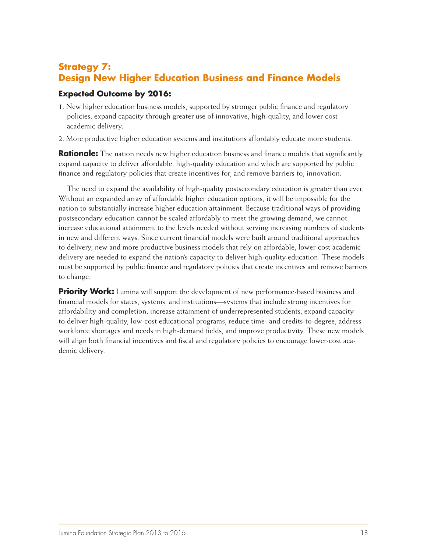## **Strategy 7: Design New Higher Education Business and Finance Models**

#### **Expected Outcome by 2016:**

- 1. New higher education business models, supported by stronger public finance and regulatory policies, expand capacity through greater use of innovative, high-quality, and lower-cost academic delivery.
- 2. More productive higher education systems and institutions affordably educate more students.

**Rationale:** The nation needs new higher education business and finance models that significantly expand capacity to deliver affordable, high-quality education and which are supported by public finance and regulatory policies that create incentives for, and remove barriers to, innovation.

The need to expand the availability of high-quality postsecondary education is greater than ever. Without an expanded array of affordable higher education options, it will be impossible for the nation to substantially increase higher education attainment. Because traditional ways of providing postsecondary education cannot be scaled affordably to meet the growing demand, we cannot increase educational attainment to the levels needed without serving increasing numbers of students in new and different ways. Since current financial models were built around traditional approaches to delivery, new and more productive business models that rely on affordable, lower-cost academic delivery are needed to expand the nation's capacity to deliver high-quality education. These models must be supported by public finance and regulatory policies that create incentives and remove barriers to change.

**Priority Work:** Lumina will support the development of new performance-based business and financial models for states, systems, and institutions—systems that include strong incentives for affordability and completion, increase attainment of underrepresented students, expand capacity to deliver high-quality, low-cost educational programs, reduce time- and credits-to-degree, address workforce shortages and needs in high-demand fields, and improve productivity. These new models will align both financial incentives and fiscal and regulatory policies to encourage lower-cost academic delivery.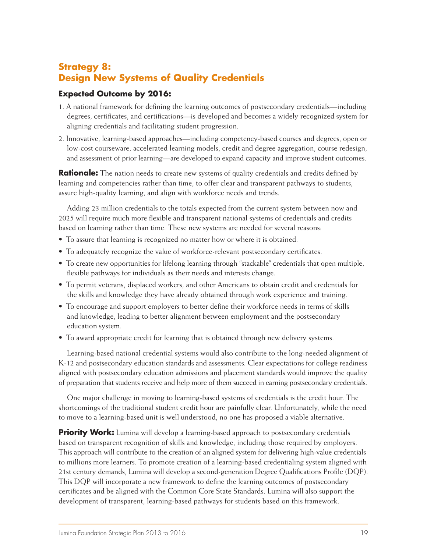# **Strategy 8: Design New Systems of Quality Credentials**

#### **Expected Outcome by 2016:**

- 1. A national framework for defining the learning outcomes of postsecondary credentials—including degrees, certificates, and certifications—is developed and becomes a widely recognized system for aligning credentials and facilitating student progression.
- 2. Innovative, learning-based approaches—including competency-based courses and degrees, open or low-cost courseware, accelerated learning models, credit and degree aggregation, course redesign, and assessment of prior learning—are developed to expand capacity and improve student outcomes.

**Rationale:** The nation needs to create new systems of quality credentials and credits defined by learning and competencies rather than time, to offer clear and transparent pathways to students, assure high-quality learning, and align with workforce needs and trends.

Adding 23 million credentials to the totals expected from the current system between now and 2025 will require much more flexible and transparent national systems of credentials and credits based on learning rather than time. These new systems are needed for several reasons:

- To assure that learning is recognized no matter how or where it is obtained.
- To adequately recognize the value of workforce-relevant postsecondary certificates.
- To create new opportunities for lifelong learning through "stackable" credentials that open multiple, flexible pathways for individuals as their needs and interests change.
- To permit veterans, displaced workers, and other Americans to obtain credit and credentials for the skills and knowledge they have already obtained through work experience and training.
- To encourage and support employers to better define their workforce needs in terms of skills and knowledge, leading to better alignment between employment and the postsecondary education system.
- To award appropriate credit for learning that is obtained through new delivery systems.

Learning-based national credential systems would also contribute to the long-needed alignment of K-12 and postsecondary education standards and assessments. Clear expectations for college readiness aligned with postsecondary education admissions and placement standards would improve the quality of preparation that students receive and help more of them succeed in earning postsecondary credentials.

One major challenge in moving to learning-based systems of credentials is the credit hour. The shortcomings of the traditional student credit hour are painfully clear. Unfortunately, while the need to move to a learning-based unit is well understood, no one has proposed a viable alternative.

**Priority Work:** Lumina will develop a learning-based approach to postsecondary credentials based on transparent recognition of skills and knowledge, including those required by employers. This approach will contribute to the creation of an aligned system for delivering high-value credentials to millions more learners. To promote creation of a learning-based credentialing system aligned with 21st century demands, Lumina will develop a second-generation Degree Qualifications Profile (DQP). This DQP will incorporate a new framework to define the learning outcomes of postsecondary certificates and be aligned with the Common Core State Standards. Lumina will also support the development of transparent, learning-based pathways for students based on this framework.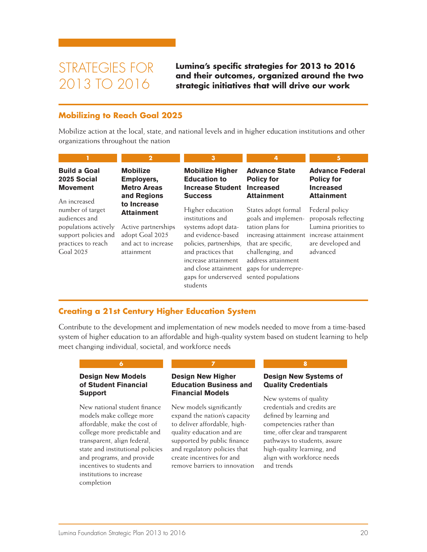# STRATEGIES FOR 2013 TO 2016

**Lumina's specific strategies for 2013 to 2016 and their outcomes, organized around the two strategic initiatives that will drive our work**

#### **Mobilizing to Reach Goal 2025**

Mobilize action at the local, state, and national levels and in higher education institutions and other organizations throughout the nation

|                                                                                                                      | 2                                                                                                               | 3                                                                                                                                                                                                                                                             | 4                                                                                                                                                       |                                                                                                                        |
|----------------------------------------------------------------------------------------------------------------------|-----------------------------------------------------------------------------------------------------------------|---------------------------------------------------------------------------------------------------------------------------------------------------------------------------------------------------------------------------------------------------------------|---------------------------------------------------------------------------------------------------------------------------------------------------------|------------------------------------------------------------------------------------------------------------------------|
| <b>Build a Goal</b><br>2025 Social<br><b>Movement</b><br>An increased                                                | <b>Mobilize</b><br>Employers,<br><b>Metro Areas</b><br>and Regions                                              | <b>Mobilize Higher</b><br><b>Education to</b><br><b>Increase Student</b><br><b>Success</b>                                                                                                                                                                    | <b>Advance State</b><br><b>Policy for</b><br><b>Increased</b><br><b>Attainment</b>                                                                      | <b>Advance Federal</b><br><b>Policy for</b><br><b>Increased</b><br><b>Attainment</b>                                   |
| number of target<br>audiences and<br>populations actively<br>support policies and<br>practices to reach<br>Coal 2025 | to Increase<br><b>Attainment</b><br>Active partnerships<br>adopt Goal 2025<br>and act to increase<br>attainment | Higher education<br>institutions and<br>systems adopt data-<br>and evidence-based<br>policies, partnerships,<br>and practices that<br>increase attainment<br>and close attainment gaps for underrepre-<br>gaps for underserved sented populations<br>students | States adopt formal<br>goals and implemen-<br>tation plans for<br>increasing attainment<br>that are specific.<br>challenging, and<br>address attainment | Federal policy<br>proposals reflecting<br>Lumina priorities to<br>increase attainment<br>are developed and<br>advanced |

#### **Creating a 21st Century Higher Education System**

Contribute to the development and implementation of new models needed to move from a time-based system of higher education to an affordable and high-quality system based on student learning to help meet changing individual, societal, and workforce needs

#### **Design New Models of Student Financial Support**

New national student finance models make college more affordable, make the cost of college more predictable and transparent, align federal, state and institutional policies and programs, and provide incentives to students and institutions to increase completion

#### **Design New Higher Education Business and Financial Models**

**6 7 8**

New models significantly expand the nation's capacity to deliver affordable, highquality education and are supported by public finance and regulatory policies that create incentives for and remove barriers to innovation

#### **Design New Systems of Quality Credentials**

New systems of quality credentials and credits are defined by learning and competencies rather than time, offer clear and transparent pathways to students, assure high-quality learning, and align with workforce needs and trends